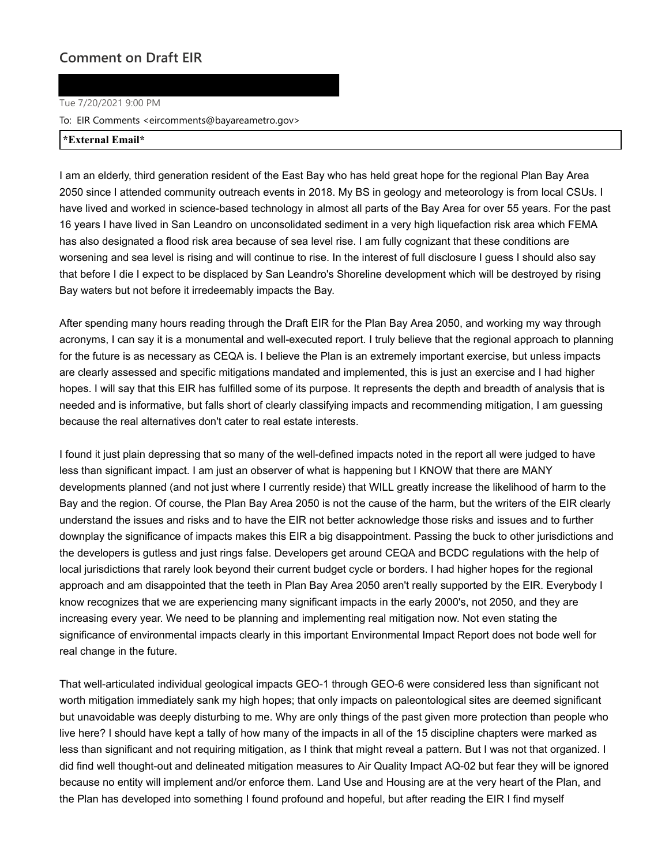## **Comment on Draft EIR**

## Tue 7/20/2021 9:00 PM

To: EIR Comments <eircomments@bayareametro.gov>

## **\*External Email\***

I am an elderly, third generation resident of the East Bay who has held great hope for the regional Plan Bay Area 2050 since I attended community outreach events in 2018. My BS in geology and meteorology is from local CSUs. I have lived and worked in science-based technology in almost all parts of the Bay Area for over 55 years. For the past 16 years I have lived in San Leandro on unconsolidated sediment in a very high liquefaction risk area which FEMA has also designated a flood risk area because of sea level rise. I am fully cognizant that these conditions are worsening and sea level is rising and will continue to rise. In the interest of full disclosure I guess I should also say that before I die I expect to be displaced by San Leandro's Shoreline development which will be destroyed by rising Bay waters but not before it irredeemably impacts the Bay.

After spending many hours reading through the Draft EIR for the Plan Bay Area 2050, and working my way through acronyms, I can say it is a monumental and well-executed report. I truly believe that the regional approach to planning for the future is as necessary as CEQA is. I believe the Plan is an extremely important exercise, but unless impacts are clearly assessed and specific mitigations mandated and implemented, this is just an exercise and I had higher hopes. I will say that this EIR has fulfilled some of its purpose. It represents the depth and breadth of analysis that is needed and is informative, but falls short of clearly classifying impacts and recommending mitigation, I am guessing because the real alternatives don't cater to real estate interests.

I found it just plain depressing that so many of the well-defined impacts noted in the report all were judged to have less than significant impact. I am just an observer of what is happening but I KNOW that there are MANY developments planned (and not just where I currently reside) that WILL greatly increase the likelihood of harm to the Bay and the region. Of course, the Plan Bay Area 2050 is not the cause of the harm, but the writers of the EIR clearly understand the issues and risks and to have the EIR not better acknowledge those risks and issues and to further downplay the significance of impacts makes this EIR a big disappointment. Passing the buck to other jurisdictions and the developers is gutless and just rings false. Developers get around CEQA and BCDC regulations with the help of local jurisdictions that rarely look beyond their current budget cycle or borders. I had higher hopes for the regional approach and am disappointed that the teeth in Plan Bay Area 2050 aren't really supported by the EIR. Everybody I know recognizes that we are experiencing many significant impacts in the early 2000's, not 2050, and they are increasing every year. We need to be planning and implementing real mitigation now. Not even stating the significance of environmental impacts clearly in this important Environmental Impact Report does not bode well for real change in the future.

That well-articulated individual geological impacts GEO-1 through GEO-6 were considered less than significant not worth mitigation immediately sank my high hopes; that only impacts on paleontological sites are deemed significant but unavoidable was deeply disturbing to me. Why are only things of the past given more protection than people who live here? I should have kept a tally of how many of the impacts in all of the 15 discipline chapters were marked as less than significant and not requiring mitigation, as I think that might reveal a pattern. But I was not that organized. I did find well thought-out and delineated mitigation measures to Air Quality Impact AQ-02 but fear they will be ignored because no entity will implement and/or enforce them. Land Use and Housing are at the very heart of the Plan, and the Plan has developed into something I found profound and hopeful, but after reading the EIR I find myself